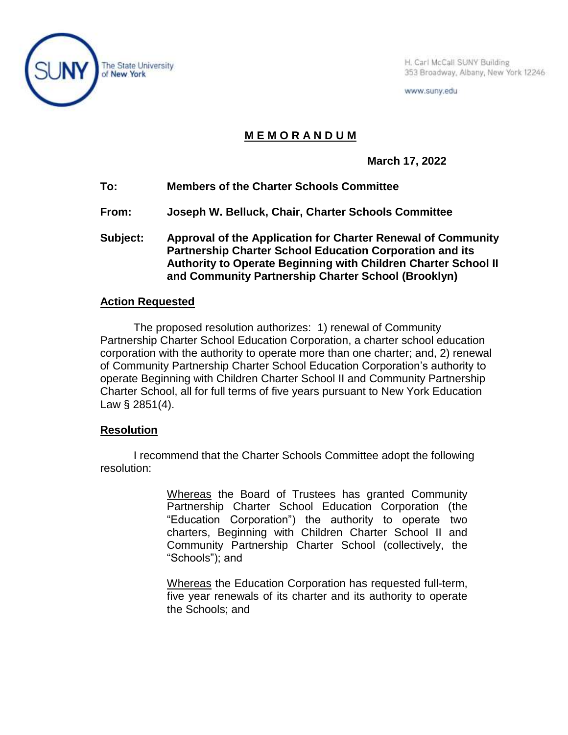

H. Carl McCall SUNY Building 353 Broadway, Albany, New York 12246

www.suny.edu

## **M E M O R A N D U M**

**March 17, 2022**

- **To: Members of the Charter Schools Committee**
- **From: Joseph W. Belluck, Chair, Charter Schools Committee**
- **Subject: Approval of the Application for Charter Renewal of Community Partnership Charter School Education Corporation and its Authority to Operate Beginning with Children Charter School II and Community Partnership Charter School (Brooklyn)**

## **Action Requested**

The proposed resolution authorizes: 1) renewal of Community Partnership Charter School Education Corporation, a charter school education corporation with the authority to operate more than one charter; and, 2) renewal of Community Partnership Charter School Education Corporation's authority to operate Beginning with Children Charter School II and Community Partnership Charter School, all for full terms of five years pursuant to New York Education Law § 2851(4).

## **Resolution**

I recommend that the Charter Schools Committee adopt the following resolution:

> Whereas the Board of Trustees has granted Community Partnership Charter School Education Corporation (the "Education Corporation") the authority to operate two charters, Beginning with Children Charter School II and Community Partnership Charter School (collectively, the "Schools"); and

> Whereas the Education Corporation has requested full-term, five year renewals of its charter and its authority to operate the Schools; and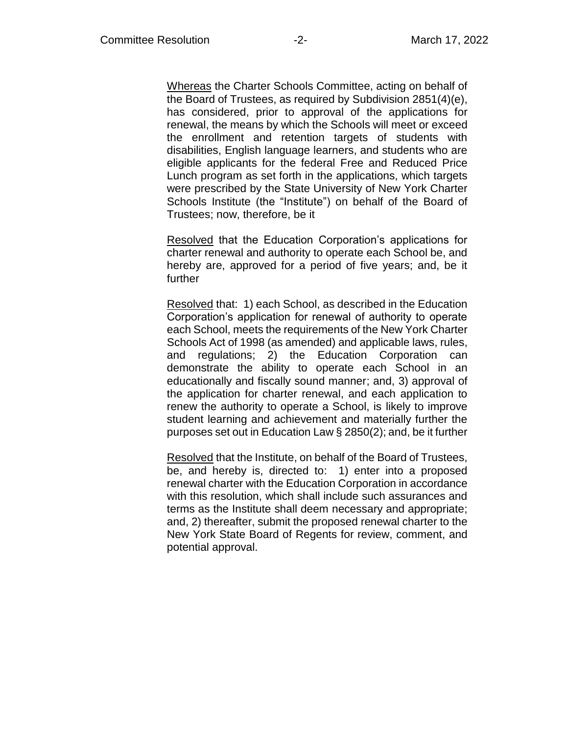Whereas the Charter Schools Committee, acting on behalf of the Board of Trustees, as required by Subdivision 2851(4)(e), has considered, prior to approval of the applications for renewal, the means by which the Schools will meet or exceed the enrollment and retention targets of students with disabilities, English language learners, and students who are eligible applicants for the federal Free and Reduced Price Lunch program as set forth in the applications, which targets were prescribed by the State University of New York Charter Schools Institute (the "Institute") on behalf of the Board of Trustees; now, therefore, be it

Resolved that the Education Corporation's applications for charter renewal and authority to operate each School be, and hereby are, approved for a period of five years; and, be it further

Resolved that: 1) each School, as described in the Education Corporation's application for renewal of authority to operate each School, meets the requirements of the New York Charter Schools Act of 1998 (as amended) and applicable laws, rules, and regulations; 2) the Education Corporation can demonstrate the ability to operate each School in an educationally and fiscally sound manner; and, 3) approval of the application for charter renewal, and each application to renew the authority to operate a School, is likely to improve student learning and achievement and materially further the purposes set out in Education Law § 2850(2); and, be it further

Resolved that the Institute, on behalf of the Board of Trustees, be, and hereby is, directed to: 1) enter into a proposed renewal charter with the Education Corporation in accordance with this resolution, which shall include such assurances and terms as the Institute shall deem necessary and appropriate; and, 2) thereafter, submit the proposed renewal charter to the New York State Board of Regents for review, comment, and potential approval.